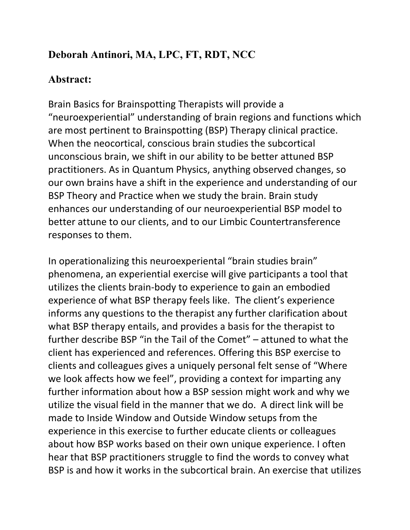## **Deborah Antinori, MA, LPC, FT, RDT, NCC**

## **Abstract:**

Brain Basics for Brainspotting Therapists will provide a "neuroexperiential" understanding of brain regions and functions which are most pertinent to Brainspotting (BSP) Therapy clinical practice. When the neocortical, conscious brain studies the subcortical unconscious brain, we shift in our ability to be better attuned BSP practitioners. As in Quantum Physics, anything observed changes, so our own brains have a shift in the experience and understanding of our BSP Theory and Practice when we study the brain. Brain study enhances our understanding of our neuroexperiential BSP model to better attune to our clients, and to our Limbic Countertransference responses to them.

In operationalizing this neuroexperiental "brain studies brain" phenomena, an experiential exercise will give participants a tool that utilizes the clients brain-body to experience to gain an embodied experience of what BSP therapy feels like. The client's experience informs any questions to the therapist any further clarification about what BSP therapy entails, and provides a basis for the therapist to further describe BSP "in the Tail of the Comet" – attuned to what the client has experienced and references. Offering this BSP exercise to clients and colleagues gives a uniquely personal felt sense of "Where we look affects how we feel", providing a context for imparting any further information about how a BSP session might work and why we utilize the visual field in the manner that we do. A direct link will be made to Inside Window and Outside Window setups from the experience in this exercise to further educate clients or colleagues about how BSP works based on their own unique experience. I often hear that BSP practitioners struggle to find the words to convey what BSP is and how it works in the subcortical brain. An exercise that utilizes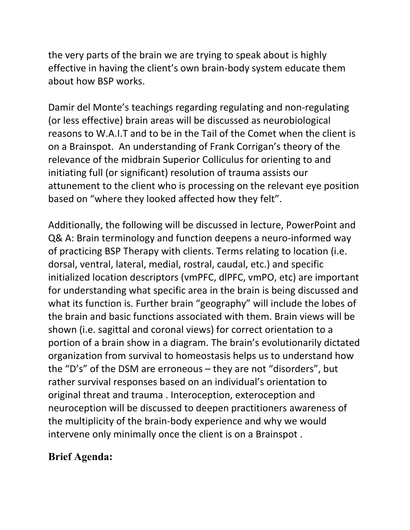the very parts of the brain we are trying to speak about is highly effective in having the client's own brain-body system educate them about how BSP works.

Damir del Monte's teachings regarding regulating and non-regulating (or less effective) brain areas will be discussed as neurobiological reasons to W.A.I.T and to be in the Tail of the Comet when the client is on a Brainspot. An understanding of Frank Corrigan's theory of the relevance of the midbrain Superior Colliculus for orienting to and initiating full (or significant) resolution of trauma assists our attunement to the client who is processing on the relevant eye position based on "where they looked affected how they felt".

Additionally, the following will be discussed in lecture, PowerPoint and Q& A: Brain terminology and function deepens a neuro-informed way of practicing BSP Therapy with clients. Terms relating to location (i.e. dorsal, ventral, lateral, medial, rostral, caudal, etc.) and specific initialized location descriptors (vmPFC, dlPFC, vmPO, etc) are important for understanding what specific area in the brain is being discussed and what its function is. Further brain "geography" will include the lobes of the brain and basic functions associated with them. Brain views will be shown (i.e. sagittal and coronal views) for correct orientation to a portion of a brain show in a diagram. The brain's evolutionarily dictated organization from survival to homeostasis helps us to understand how the "D's" of the DSM are erroneous – they are not "disorders", but rather survival responses based on an individual's orientation to original threat and trauma . Interoception, exteroception and neuroception will be discussed to deepen practitioners awareness of the multiplicity of the brain-body experience and why we would intervene only minimally once the client is on a Brainspot .

## **Brief Agenda:**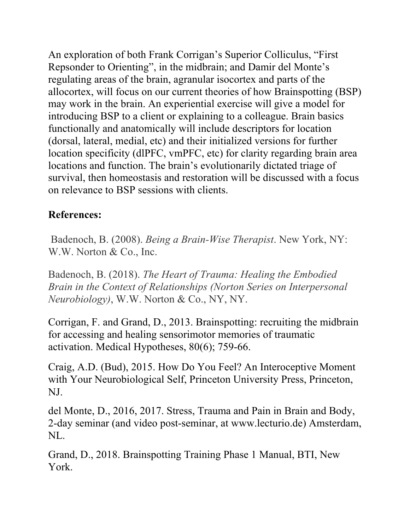An exploration of both Frank Corrigan's Superior Colliculus, "First Repsonder to Orienting", in the midbrain; and Damir del Monte's regulating areas of the brain, agranular isocortex and parts of the allocortex, will focus on our current theories of how Brainspotting (BSP) may work in the brain. An experiential exercise will give a model for introducing BSP to a client or explaining to a colleague. Brain basics functionally and anatomically will include descriptors for location (dorsal, lateral, medial, etc) and their initialized versions for further location specificity (dlPFC, vmPFC, etc) for clarity regarding brain area locations and function. The brain's evolutionarily dictated triage of survival, then homeostasis and restoration will be discussed with a focus on relevance to BSP sessions with clients.

## **References:**

 Badenoch, B. (2008). *Being a Brain-Wise Therapist*. New York, NY: W.W. Norton & Co., Inc.

Badenoch, B. (2018). *The Heart of Trauma: Healing the Embodied Brain in the Context of Relationships (Norton Series on Interpersonal Neurobiology)*, W.W. Norton & Co., NY, NY.

Corrigan, F. and Grand, D., 2013. Brainspotting: recruiting the midbrain for accessing and healing sensorimotor memories of traumatic activation. Medical Hypotheses, 80(6); 759-66.

Craig, A.D. (Bud), 2015. How Do You Feel? An Interoceptive Moment with Your Neurobiological Self, Princeton University Press, Princeton, NJ.

del Monte, D., 2016, 2017. Stress, Trauma and Pain in Brain and Body, 2-day seminar (and video post-seminar, at www.lecturio.de) Amsterdam, NL.

Grand, D., 2018. Brainspotting Training Phase 1 Manual, BTI, New York.